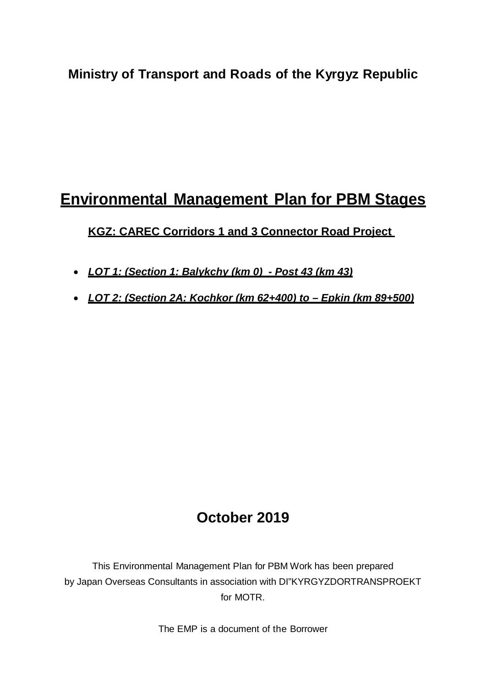## **Ministry of Transport and Roads of the Kyrgyz Republic**

# **Environmental Management Plan for PBM Stages**

## **KGZ: CAREC Corridors 1 and 3 Connector Road Project**

- *LOT 1: (Section 1: Balykchy (km 0) - Post 43 (km 43)*
- *LOT 2: (Section 2A: Kochkor (km 62+400) to – Epkin (km 89+500)*

## **October 2019**

This Environmental Management Plan for PBM Work has been prepared by Japan Overseas Consultants in association with DI"KYRGYZDORTRANSPROEKT for MOTR.

The EMP is a document of the Borrower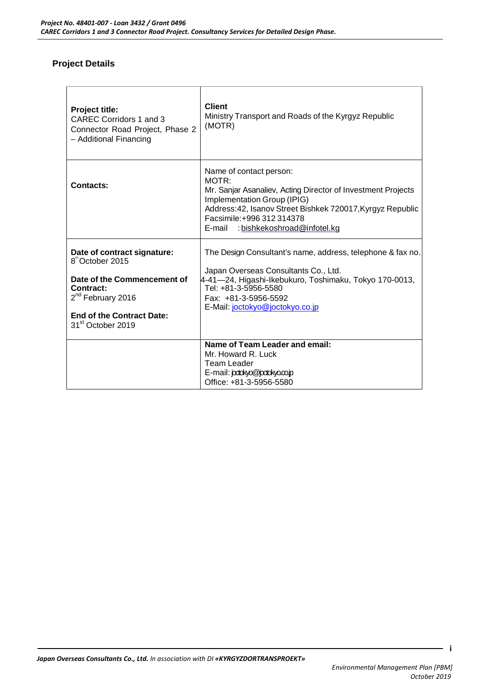#### **Project Details**

| <b>Project title:</b><br><b>CAREC Corridors 1 and 3</b><br>Connector Road Project, Phase 2<br>- Additional Financing                                                                                          | <b>Client</b><br>Ministry Transport and Roads of the Kyrgyz Republic<br>(MOTR)                                                                                                                                                                                               |
|---------------------------------------------------------------------------------------------------------------------------------------------------------------------------------------------------------------|------------------------------------------------------------------------------------------------------------------------------------------------------------------------------------------------------------------------------------------------------------------------------|
| Contacts:                                                                                                                                                                                                     | Name of contact person:<br>MOTR <sup>.</sup><br>Mr. Sanjar Asanaliev, Acting Director of Investment Projects<br>Implementation Group (IPIG)<br>Address: 42, Isanov Street Bishkek 720017, Kyrgyz Republic<br>Facsimile: +996 312 314378<br>E-mail: bishkekoshroad@infotel.kg |
| Date of contract signature:<br>8 <sup>th</sup> October 2015<br>Date of the Commencement of<br>Contract:<br>2 <sup>nd</sup> February 2016<br><b>End of the Contract Date:</b><br>31 <sup>st</sup> October 2019 | The Design Consultant's name, address, telephone & fax no.<br>Japan Overseas Consultants Co., Ltd.<br>4-41—24, Higashi-Ikebukuro, Toshimaku, Tokyo 170-0013,<br>Tel: +81-3-5956-5580<br>Fax: +81-3-5956-5592<br>E-Mail: joctokyo@joctokyo.co.jp                              |
|                                                                                                                                                                                                               | Name of Team Leader and email:<br>Mr. Howard R. Luck<br>Team Leader<br>E-mail: pdokyo@pdokyo.co.p<br>Office: +81-3-5956-5580                                                                                                                                                 |

 **i**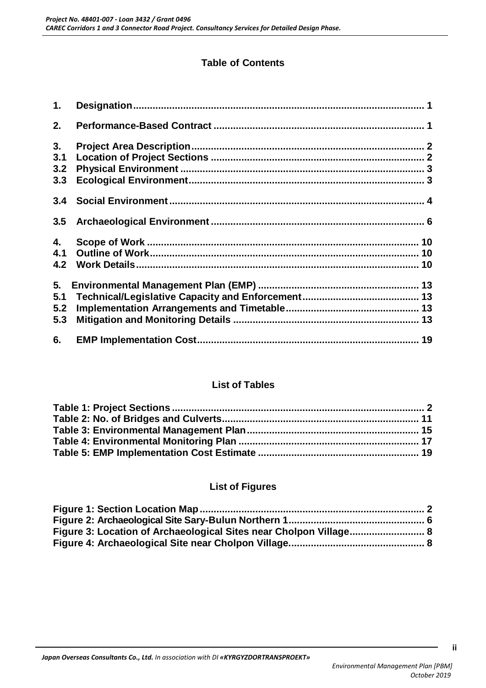## **Table of Contents**

| 1.  |  |
|-----|--|
| 2.  |  |
| 3.  |  |
| 3.1 |  |
| 3.2 |  |
| 3.3 |  |
| 3.4 |  |
| 3.5 |  |
| 4.  |  |
| 4.1 |  |
| 4.2 |  |
| 5.  |  |
| 5.1 |  |
| 5.2 |  |
| 5.3 |  |
|     |  |
| 6.  |  |

#### **List of Tables**

#### **List of Figures**

| Figure 3: Location of Archaeological Sites near Cholpon Village 8 |  |
|-------------------------------------------------------------------|--|
|                                                                   |  |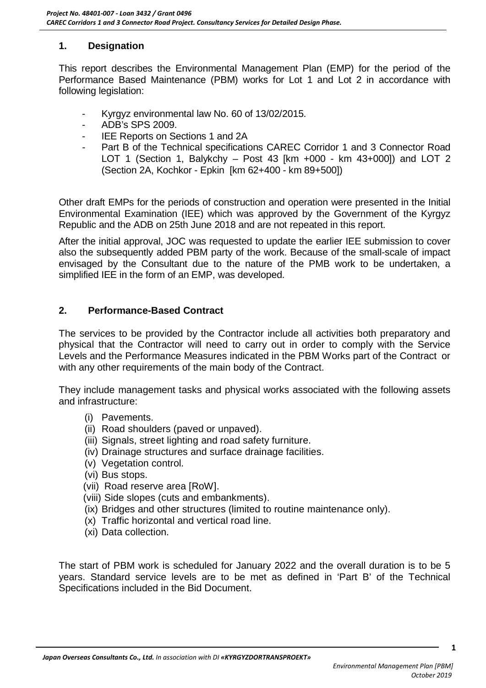#### <span id="page-3-0"></span>**1. Designation**

This report describes the Environmental Management Plan (EMP) for the period of the Performance Based Maintenance (PBM) works for Lot 1 and Lot 2 in accordance with following legislation:

- Kyrgyz environmental law No. 60 of 13/02/2015.
- ADB's SPS 2009.
- IEE Reports on Sections 1 and 2A
- Part B of the Technical specifications CAREC Corridor 1 and 3 Connector Road LOT 1 (Section 1, Balykchy – Post 43 [km +000 - km 43+000]) and LOT 2 (Section 2A, Kochkor - Epkin [km 62+400 - km 89+500])

Other draft EMPs for the periods of construction and operation were presented in the Initial Environmental Examination (IEE) which was approved by the Government of the Kyrgyz Republic and the ADB on 25th June 2018 and are not repeated in this report.

After the initial approval, JOC was requested to update the earlier IEE submission to cover also the subsequently added PBM party of the work. Because of the small-scale of impact envisaged by the Consultant due to the nature of the PMB work to be undertaken, a simplified IEE in the form of an EMP, was developed.

#### <span id="page-3-1"></span>**2. Performance-Based Contract**

The services to be provided by the Contractor include all activities both preparatory and physical that the Contractor will need to carry out in order to comply with the Service Levels and the Performance Measures indicated in the PBM Works part of the Contract or with any other requirements of the main body of the Contract.

They include management tasks and physical works associated with the following assets and infrastructure:

- (i) Pavements.
- (ii) Road shoulders (paved or unpaved).
- (iii) Signals, street lighting and road safety furniture.
- (iv) Drainage structures and surface drainage facilities.
- (v) Vegetation control.
- (vi) Bus stops.
- (vii) Road reserve area [RoW].
- (viii) Side slopes (cuts and embankments).
- (ix) Bridges and other structures (limited to routine maintenance only).
- (x) Traffic horizontal and vertical road line.
- (xi) Data collection.

The start of PBM work is scheduled for January 2022 and the overall duration is to be 5 years. Standard service levels are to be met as defined in 'Part B' of the Technical Specifications included in the Bid Document.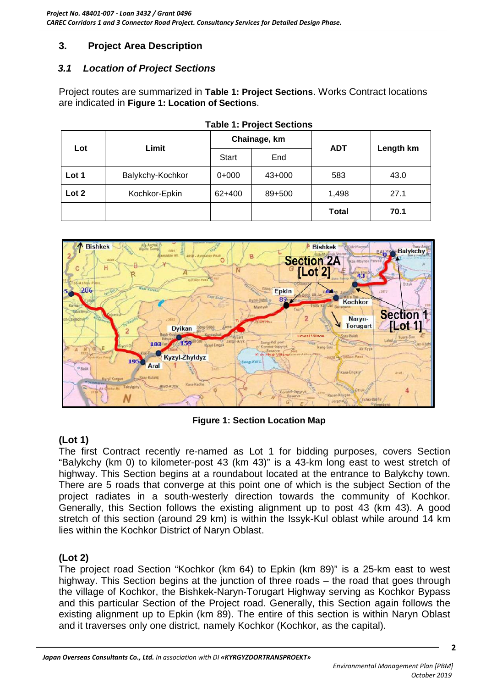## <span id="page-4-0"></span>**3. Project Area Description**

#### <span id="page-4-1"></span>*3.1 Location of Project Sections*

Project routes are summarized in **[Table 1: Project Sections](#page-4-2)**. Works Contract locations are indicated in **[Figure 1: Location of Sections](#page-4-4)**.

<span id="page-4-2"></span>

| Lot   | Limit            |              | Chainage, km | <b>ADT</b>   | Length km |  |
|-------|------------------|--------------|--------------|--------------|-----------|--|
|       |                  | <b>Start</b> | End          |              |           |  |
| Lot 1 | Balykchy-Kochkor | $0+000$      | $43+000$     | 583          | 43.0      |  |
| Lot 2 | Kochkor-Epkin    |              | 89+500       | 1,498        | 27.1      |  |
|       |                  |              |              | <b>Total</b> | 70.1      |  |



<span id="page-4-4"></span>

**Figure 1: Section Location Map**

## <span id="page-4-3"></span>**(Lot 1)**

The first Contract recently re-named as Lot 1 for bidding purposes, covers Section "Balykchy (km 0) to kilometer-post 43 (km 43)" is a 43-km long east to west stretch of highway. This Section begins at a roundabout located at the entrance to Balykchy town. There are 5 roads that converge at this point one of which is the subject Section of the project radiates in a south-westerly direction towards the community of Kochkor. Generally, this Section follows the existing alignment up to post 43 (km 43). A good stretch of this section (around 29 km) is within the Issyk-Kul oblast while around 14 km lies within the Kochkor District of Naryn Oblast.

## **(Lot 2)**

The project road Section "Kochkor (km 64) to Epkin (km 89)" is a 25-km east to west highway. This Section begins at the junction of three roads – the road that goes through the village of Kochkor, the Bishkek-Naryn-Torugart Highway serving as Kochkor Bypass and this particular Section of the Project road. Generally, this Section again follows the existing alignment up to Epkin (km 89). The entire of this section is within Naryn Oblast and it traverses only one district, namely Kochkor (Kochkor, as the capital).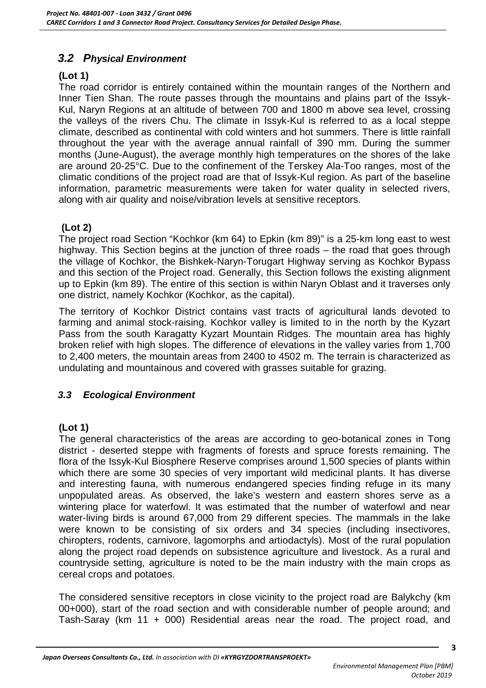## <span id="page-5-0"></span>*3.2 Physical Environment*

#### **(Lot 1)**

The road corridor is entirely contained within the mountain ranges of the Northern and Inner Tien Shan. The route passes through the mountains and plains part of the Issyk-Kul, Naryn Regions at an altitude of between 700 and 1800 m above sea level, crossing the valleys of the rivers Chu. The climate in Issyk-Kul is referred to as a local steppe climate, described as continental with cold winters and hot summers. There is little rainfall throughout the year with the average annual rainfall of 390 mm. During the summer months (June-August), the average monthly high temperatures on the shores of the lake are around 20-25°C. Due to the confinement of the Terskey Ala-Too ranges, most of the climatic conditions of the project road are that of Issyk-Kul region. As part of the baseline information, parametric measurements were taken for water quality in selected rivers, along with air quality and noise/vibration levels at sensitive receptors.

## **(Lot 2)**

The project road Section "Kochkor (km 64) to Epkin (km 89)" is a 25-km long east to west highway. This Section begins at the junction of three roads – the road that goes through the village of Kochkor, the Bishkek-Naryn-Torugart Highway serving as Kochkor Bypass and this section of the Project road. Generally, this Section follows the existing alignment up to Epkin (km 89). The entire of this section is within Naryn Oblast and it traverses only one district, namely Kochkor (Kochkor, as the capital).

The territory of Kochkor District contains vast tracts of agricultural lands devoted to farming and animal stock-raising. Kochkor valley is limited to in the north by the Kyzart Pass from the south Karagatty Kyzart Mountain Ridges. The mountain area has highly broken relief with high slopes. The difference of elevations in the valley varies from 1,700 to 2,400 meters, the mountain areas from 2400 to 4502 m. The terrain is characterized as undulating and mountainous and covered with grasses suitable for grazing.

#### <span id="page-5-1"></span>*3.3 Ecological Environment*

#### **(Lot 1)**

The general characteristics of the areas are according to geo-botanical zones in Tong district - deserted steppe with fragments of forests and spruce forests remaining. The flora of the Issyk-Kul Biosphere Reserve comprises around 1,500 species of plants within which there are some 30 species of very important wild medicinal plants. It has diverse and interesting fauna, with numerous endangered species finding refuge in its many unpopulated areas. As observed, the lake's western and eastern shores serve as a wintering place for waterfowl. It was estimated that the number of waterfowl and near water-living birds is around 67,000 from 29 different species. The mammals in the lake were known to be consisting of six orders and 34 species (including insectivores, chiropters, rodents, carnivore, lagomorphs and artiodactyls). Most of the rural population along the project road depends on subsistence agriculture and livestock. As a rural and countryside setting, agriculture is noted to be the main industry with the main crops as cereal crops and potatoes.

The considered sensitive receptors in close vicinity to the project road are Balykchy (km 00+000), start of the road section and with considerable number of people around; and Tash-Saray (km 11 + 000) Residential areas near the road. The project road, and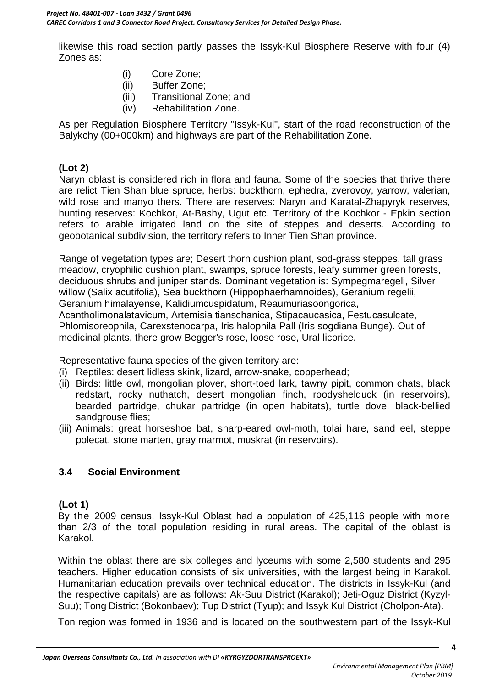likewise this road section partly passes the Issyk-Kul Biosphere Reserve with four (4) Zones as:

- (i) Core Zone;
- (ii) Buffer Zone;
- (iii) Transitional Zone; and
- (iv) Rehabilitation Zone.

As per Regulation Biosphere Territory "Issyk-Kul", start of the road reconstruction of the Balykchy (00+000km) and highways are part of the Rehabilitation Zone.

#### **(Lot 2)**

Naryn oblast is considered rich in flora and fauna. Some of the species that thrive there are relict Tien Shan blue spruce, herbs: buckthorn, ephedra, zverovoy, yarrow, valerian, wild rose and manyo thers. There are reserves: Naryn and Karatal-Zhapyryk reserves, hunting reserves: Kochkor, At-Bashy, Ugut etc. Territory of the Kochkor - Epkin section refers to arable irrigated land on the site of steppes and deserts. According to geobotanical subdivision, the territory refers to Inner Tien Shan province.

Range of vegetation types are; Desert thorn cushion plant, sod-grass steppes, tall grass meadow, cryophilic cushion plant, swamps, spruce forests, leafy summer green forests, deciduous shrubs and juniper stands. Dominant vegetation is: Sympegmaregeli, Silver willow (Salix acutifolia), Sea buckthorn (Hippophaerhamnoides), Geranium regelii, Geranium himalayense, Kalidiumcuspidatum, Reaumuriasoongorica, Acantholimonalatavicum, Artemisia tianschanica, Stipacaucasica, Festucasulcate, Phlomisoreophila, Carexstenocarpa, Iris halophila Pall (Iris sogdiana Bunge). Out of

medicinal plants, there grow Begger's rose, loose rose, Ural licorice.

Representative fauna species of the given territory are:

- (i) Reptiles: desert lidless skink, lizard, arrow-snake, copperhead;
- (ii) Birds: little owl, mongolian plover, short-toed lark, tawny pipit, common chats, black redstart, rocky nuthatch, desert mongolian finch, roodyshelduck (in reservoirs), bearded partridge, chukar partridge (in open habitats), turtle dove, black-bellied sandgrouse flies;
- (iii) Animals: great horseshoe bat, sharp-eared owl-moth, tolai hare, sand eel, steppe polecat, stone marten, gray marmot, muskrat (in reservoirs).

## <span id="page-6-0"></span>**3.4 Social Environment**

#### **(Lot 1)**

By the 2009 census, Issyk-Kul Oblast had a population of 425,116 people with more than 2/3 of the total population residing in rural areas. The capital of the oblast is Karakol.

Within the oblast there are six colleges and lyceums with some 2,580 students and 295 teachers. Higher education consists of six universities, with the largest being in Karakol. Humanitarian education prevails over technical education. The districts in Issyk-Kul (and the respective capitals) are as follows: Ak-Suu District (Karakol); Jeti-Oguz District (Kyzyl-Suu); Tong District (Bokonbaev); Tup District (Tyup); and Issyk Kul District (Cholpon-Ata).

Ton region was formed in 1936 and is located on the southwestern part of the Issyk-Kul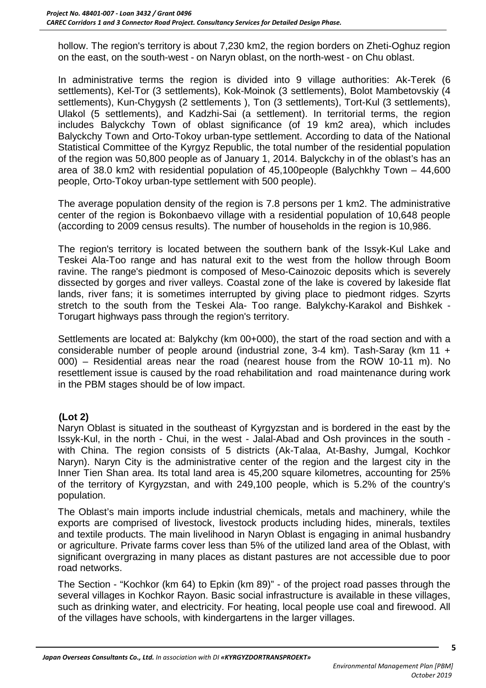hollow. The region's territory is about 7,230 km2, the region borders on Zheti-Oghuz region on the east, on the south-west - on Naryn oblast, on the north-west - on Chu oblast.

In administrative terms the region is divided into 9 village authorities: Ak-Terek (6 settlements), Kel-Tor (3 settlements), Kok-Moinok (3 settlements), Bolot Mambetovskiy (4 settlements), Kun-Chygysh (2 settlements ), Ton (3 settlements), Tort-Kul (3 settlements), Ulakol (5 settlements), and Kadzhi-Sai (a settlement). In territorial terms, the region includes Balyckchy Town of oblast significance (of 19 km2 area), which includes Balyckchy Town and Orto-Tokoy urban-type settlement. According to data of the National Statistical Committee of the Kyrgyz Republic, the total number of the residential population of the region was 50,800 people as of January 1, 2014. Balyckchy in of the oblast's has an area of 38.0 km2 with residential population of 45,100people (Balychkhy Town – 44,600 people, Orto-Tokoy urban-type settlement with 500 people).

The average population density of the region is 7.8 persons per 1 km2. The administrative center of the region is Bokonbaevo village with a residential population of 10,648 people (according to 2009 census results). The number of households in the region is 10,986.

The region's territory is located between the southern bank of the Issyk-Kul Lake and Teskei Ala-Too range and has natural exit to the west from the hollow through Boom ravine. The range's piedmont is composed of Meso-Cainozoic deposits which is severely dissected by gorges and river valleys. Coastal zone of the lake is covered by lakeside flat lands, river fans; it is sometimes interrupted by giving place to piedmont ridges. Szyrts stretch to the south from the Teskei Ala- Too range. Balykchy-Karakol and Bishkek - Torugart highways pass through the region's territory.

Settlements are located at: Balykchy (km 00+000), the start of the road section and with a considerable number of people around (industrial zone, 3-4 km). Tash-Saray (km 11 + 000) – Residential areas near the road (nearest house from the ROW 10-11 m). No resettlement issue is caused by the road rehabilitation and road maintenance during work in the PBM stages should be of low impact.

#### **(Lot 2)**

Naryn Oblast is situated in the southeast of Kyrgyzstan and is bordered in the east by the Issyk-Kul, in the north - Chui, in the west - Jalal-Abad and Osh provinces in the south with China. The region consists of 5 districts (Ak-Talaa, At-Bashy, Jumgal, Kochkor Naryn). Naryn City is the administrative center of the region and the largest city in the Inner Tien Shan area. Its total land area is 45,200 square kilometres, accounting for 25% of the territory of Kyrgyzstan, and with 249,100 people, which is 5.2% of the country's population.

The Oblast's main imports include industrial chemicals, metals and machinery, while the exports are comprised of livestock, livestock products including hides, minerals, textiles and textile products. The main livelihood in Naryn Oblast is engaging in animal husbandry or agriculture. Private farms cover less than 5% of the utilized land area of the Oblast, with significant overgrazing in many places as distant pastures are not accessible due to poor road networks.

The Section - "Kochkor (km 64) to Epkin (km 89)" - of the project road passes through the several villages in Kochkor Rayon. Basic social infrastructure is available in these villages, such as drinking water, and electricity. For heating, local people use coal and firewood. All of the villages have schools, with kindergartens in the larger villages.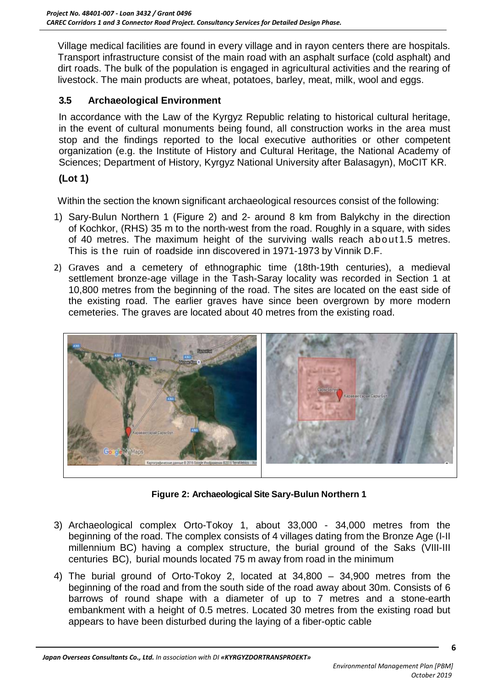Village medical facilities are found in every village and in rayon centers there are hospitals. Transport infrastructure consist of the main road with an asphalt surface (cold asphalt) and dirt roads. The bulk of the population is engaged in agricultural activities and the rearing of livestock. The main products are wheat, potatoes, barley, meat, milk, wool and eggs.

#### <span id="page-8-0"></span>**3.5 Archaeological Environment**

In accordance with the Law of the Kyrgyz Republic relating to historical cultural heritage, in the event of cultural monuments being found, all construction works in the area must stop and the findings reported to the local executive authorities or other competent organization (e.g. the Institute of History and Cultural Heritage, the National Academy of Sciences; Department of History, Kyrgyz National University after Balasagyn), MoCIT KR.

#### **(Lot 1)**

Within the section the known significant archaeological resources consist of the following:

- 1) Sary-Bulun Northern 1 (Figure 2) and 2- around 8 km from Balykchy in the direction of Kochkor, (RHS) 35 m to the north-west from the road. Roughly in a square, with sides of 40 metres. The maximum height of the surviving walls reach about1.5 metres. This is the ruin of roadside inn discovered in 1971-1973 by Vinnik D.F.
- 2) Graves and a cemetery of ethnographic time (18th-19th centuries), a medieval settlement bronze-age village in the Tash-Saray locality was recorded in Section 1 at 10,800 metres from the beginning of the road. The sites are located on the east side of the existing road. The earlier graves have since been overgrown by more modern cemeteries. The graves are located about 40 metres from the existing road.



**Figure 2: Archaeological Site Sary-Bulun Northern 1**

- <span id="page-8-1"></span>3) Archaeological complex Orto-Tokoy 1, about 33,000 - 34,000 metres from the beginning of the road. The complex consists of 4 villages dating from the Bronze Age (I-II millennium BC) having a complex structure, the burial ground of the Saks (VIII-III centuries BC), burial mounds located 75 m away from road in the minimum
- 4) The burial ground of Orto-Tokoy 2, located at 34,800 34,900 metres from the beginning of the road and from the south side of the road away about 30m. Consists of 6 barrows of round shape with a diameter of up to 7 metres and a stone-earth embankment with a height of 0.5 metres. Located 30 metres from the existing road but appears to have been disturbed during the laying of a fiber-optic cable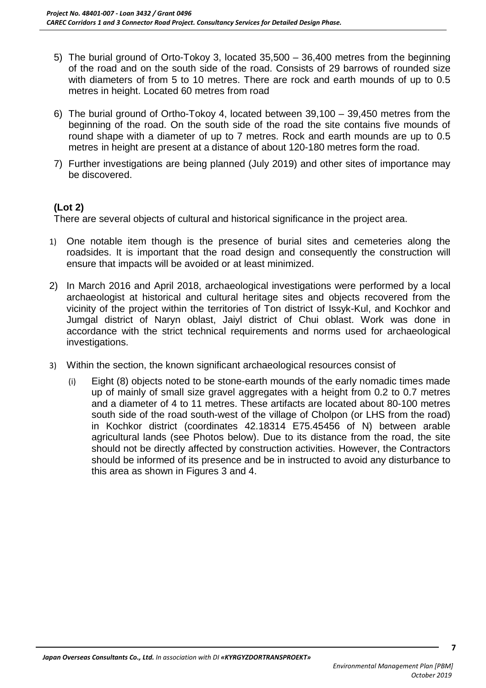- 5) The burial ground of Orto-Tokoy 3, located 35,500 36,400 metres from the beginning of the road and on the south side of the road. Consists of 29 barrows of rounded size with diameters of from 5 to 10 metres. There are rock and earth mounds of up to 0.5 metres in height. Located 60 metres from road
- 6) The burial ground of Ortho-Tokoy 4, located between 39,100 39,450 metres from the beginning of the road. On the south side of the road the site contains five mounds of round shape with a diameter of up to 7 metres. Rock and earth mounds are up to 0.5 metres in height are present at a distance of about 120-180 metres form the road.
- 7) Further investigations are being planned (July 2019) and other sites of importance may be discovered.

#### **(Lot 2)**

There are several objects of cultural and historical significance in the project area.

- 1) One notable item though is the presence of burial sites and cemeteries along the roadsides. It is important that the road design and consequently the construction will ensure that impacts will be avoided or at least minimized.
- 2) In March 2016 and April 2018, archaeological investigations were performed by a local archaeologist at historical and cultural heritage sites and objects recovered from the vicinity of the project within the territories of Ton district of Issyk-Kul, and Kochkor and Jumgal district of Naryn oblast, Jaiyl district of Chui oblast. Work was done in accordance with the strict technical requirements and norms used for archaeological investigations.
- 3) Within the section, the known significant archaeological resources consist of
	- (i) Eight (8) objects noted to be stone-earth mounds of the early nomadic times made up of mainly of small size gravel aggregates with a height from 0.2 to 0.7 metres and a diameter of 4 to 11 metres. These artifacts are located about 80-100 metres south side of the road south-west of the village of Cholpon (or LHS from the road) in Kochkor district (coordinates 42.18314 E75.45456 of N) between arable agricultural lands (see Photos below). Due to its distance from the road, the site should not be directly affected by construction activities. However, the Contractors should be informed of its presence and be in instructed to avoid any disturbance to this area as shown in Figures 3 and 4.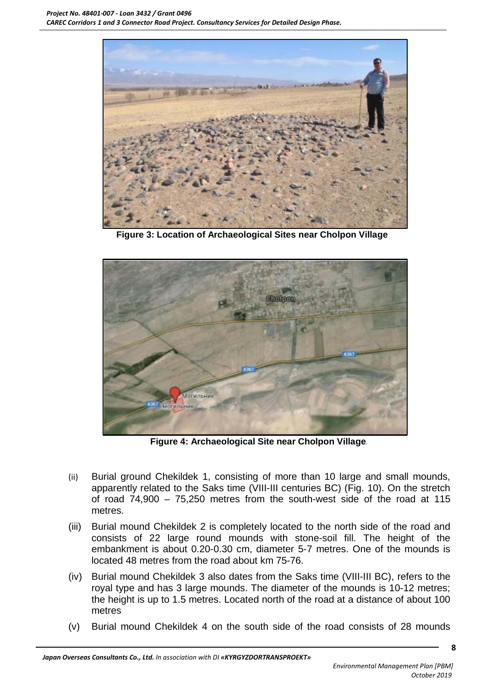

**Figure 3: Location of Archaeological Sites near Cholpon Village**

<span id="page-10-0"></span>

**Figure 4: Archaeological Site near Cholpon Village***.*

- <span id="page-10-1"></span>(ii) Burial ground Chekildek 1, consisting of more than 10 large and small mounds, apparently related to the Saks time (VIII-III centuries BC) (Fig. 10). On the stretch of road 74,900 – 75,250 metres from the south-west side of the road at 115 metres.
- (iii) Burial mound Chekildek 2 is completely located to the north side of the road and consists of 22 large round mounds with stone-soil fill. The height of the embankment is about 0.20-0.30 cm, diameter 5-7 metres. One of the mounds is located 48 metres from the road about km 75-76.
- (iv) Burial mound Chekildek 3 also dates from the Saks time (VIII-III BC), refers to the royal type and has 3 large mounds. The diameter of the mounds is 10-12 metres; the height is up to 1.5 metres. Located north of the road at a distance of about 100 metres
- (v) Burial mound Chekildek 4 on the south side of the road consists of 28 mounds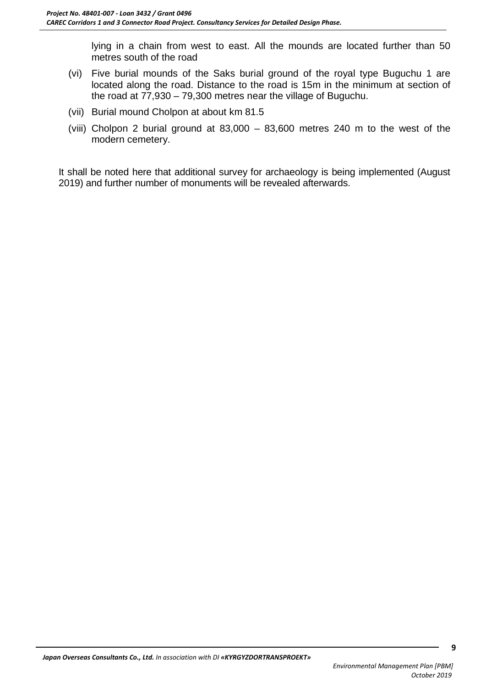lying in a chain from west to east. All the mounds are located further than 50 metres south of the road

- (vi) Five burial mounds of the Saks burial ground of the royal type Buguchu 1 are located along the road. Distance to the road is 15m in the minimum at section of the road at 77,930 – 79,300 metres near the village of Buguchu.
- (vii) Burial mound Cholpon at about km 81.5
- (viii) Cholpon 2 burial ground at 83,000 83,600 metres 240 m to the west of the modern cemetery.

It shall be noted here that additional survey for archaeology is being implemented (August 2019) and further number of monuments will be revealed afterwards.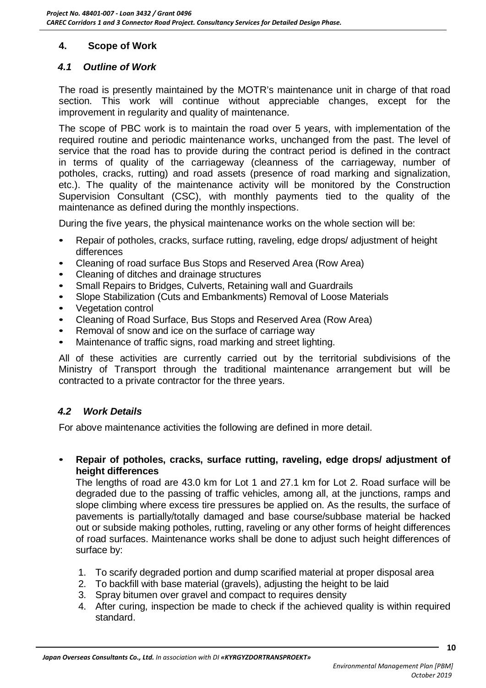### <span id="page-12-0"></span>**4. Scope of Work**

#### <span id="page-12-1"></span>*4.1 Outline of Work*

The road is presently maintained by the MOTR's maintenance unit in charge of that road section. This work will continue without appreciable changes, except for the improvement in regularity and quality of maintenance.

The scope of PBC work is to maintain the road over 5 years, with implementation of the required routine and periodic maintenance works, unchanged from the past. The level of service that the road has to provide during the contract period is defined in the contract in terms of quality of the carriageway (cleanness of the carriageway, number of potholes, cracks, rutting) and road assets (presence of road marking and signalization, etc.). The quality of the maintenance activity will be monitored by the Construction Supervision Consultant (CSC), with monthly payments tied to the quality of the maintenance as defined during the monthly inspections.

During the five years, the physical maintenance works on the whole section will be:

- Repair of potholes, cracks, surface rutting, raveling, edge drops/adjustment of height differences
- Cleaning of road surface Bus Stops and Reserved Area (Row Area)
- Cleaning of ditches and drainage structures
- Small Repairs to Bridges, Culverts, Retaining wall and Guardrails
- Slope Stabilization (Cuts and Embankments) Removal of Loose Materials
- Vegetation control
- Cleaning of Road Surface, Bus Stops and Reserved Area (Row Area)
- Removal of snow and ice on the surface of carriage way
- Maintenance of traffic signs, road marking and street lighting.

All of these activities are currently carried out by the territorial subdivisions of the Ministry of Transport through the traditional maintenance arrangement but will be contracted to a private contractor for the three years.

#### <span id="page-12-2"></span>*4.2 Work Details*

For above maintenance activities the following are defined in more detail.

• **Repair of potholes, cracks, surface rutting, raveling, edge drops/ adjustment of height differences**

The lengths of road are 43.0 km for Lot 1 and 27.1 km for Lot 2. Road surface will be degraded due to the passing of traffic vehicles, among all, at the junctions, ramps and slope climbing where excess tire pressures be applied on. As the results, the surface of pavements is partially/totally damaged and base course/subbase material be hacked out or subside making potholes, rutting, raveling or any other forms of height differences of road surfaces. Maintenance works shall be done to adjust such height differences of surface by:

- 1. To scarify degraded portion and dump scarified material at proper disposal area
- 2. To backfill with base material (gravels), adjusting the height to be laid
- 3. Spray bitumen over gravel and compact to requires density
- 4. After curing, inspection be made to check if the achieved quality is within required standard.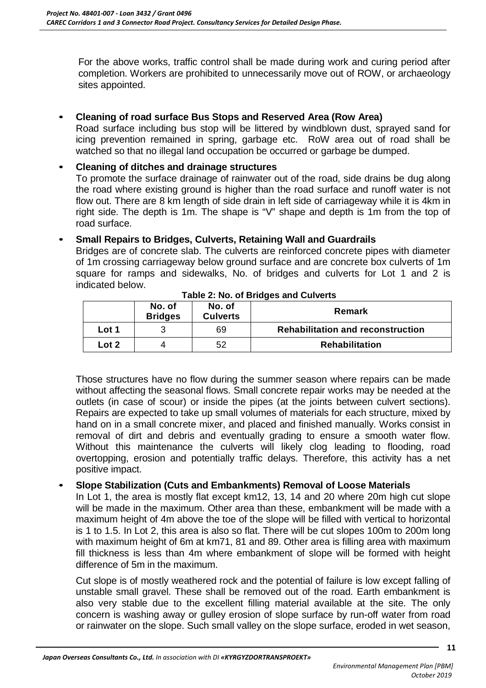For the above works, traffic control shall be made during work and curing period after completion. Workers are prohibited to unnecessarily move out of ROW, or archaeology sites appointed.

#### • **Cleaning of road surface Bus Stops and Reserved Area (Row Area)**

Road surface including bus stop will be littered by windblown dust, sprayed sand for icing prevention remained in spring, garbage etc. RoW area out of road shall be watched so that no illegal land occupation be occurred or garbage be dumped.

#### • **Cleaning of ditches and drainage structures**

To promote the surface drainage of rainwater out of the road, side drains be dug along the road where existing ground is higher than the road surface and runoff water is not flow out. There are 8 km length of side drain in left side of carriageway while it is 4km in right side. The depth is 1m. The shape is "V" shape and depth is 1m from the top of road surface.

#### • **Small Repairs to Bridges, Culverts, Retaining Wall and Guardrails**

Bridges are of concrete slab. The culverts are reinforced concrete pipes with diameter of 1m crossing carriageway below ground surface and are concrete box culverts of 1m square for ramps and sidewalks, No. of bridges and culverts for Lot 1 and 2 is indicated below.

<span id="page-13-0"></span>

|       | No. of<br><b>Bridges</b> | No. of<br><b>Culverts</b> | Remark                                   |  |  |
|-------|--------------------------|---------------------------|------------------------------------------|--|--|
| Lot 1 |                          | 69                        | <b>Rehabilitation and reconstruction</b> |  |  |
| Lot 2 |                          | 52                        | <b>Rehabilitation</b>                    |  |  |

**Table 2: No. of Bridges and Culverts**

Those structures have no flow during the summer season where repairs can be made without affecting the seasonal flows. Small concrete repair works may be needed at the outlets (in case of scour) or inside the pipes (at the joints between culvert sections). Repairs are expected to take up small volumes of materials for each structure, mixed by hand on in a small concrete mixer, and placed and finished manually. Works consist in removal of dirt and debris and eventually grading to ensure a smooth water flow. Without this maintenance the culverts will likely clog leading to flooding, road overtopping, erosion and potentially traffic delays. Therefore, this activity has a net positive impact.

#### • **Slope Stabilization (Cuts and Embankments) Removal of Loose Materials**

In Lot 1, the area is mostly flat except km12, 13, 14 and 20 where 20m high cut slope will be made in the maximum. Other area than these, embankment will be made with a maximum height of 4m above the toe of the slope will be filled with vertical to horizontal is 1 to 1.5. In Lot 2, this area is also so flat. There will be cut slopes 100m to 200m long with maximum height of 6m at km71, 81 and 89. Other area is filling area with maximum fill thickness is less than 4m where embankment of slope will be formed with height difference of 5m in the maximum.

Cut slope is of mostly weathered rock and the potential of failure is low except falling of unstable small gravel. These shall be removed out of the road. Earth embankment is also very stable due to the excellent filling material available at the site. The only concern is washing away or gulley erosion of slope surface by run-off water from road or rainwater on the slope. Such small valley on the slope surface, eroded in wet season,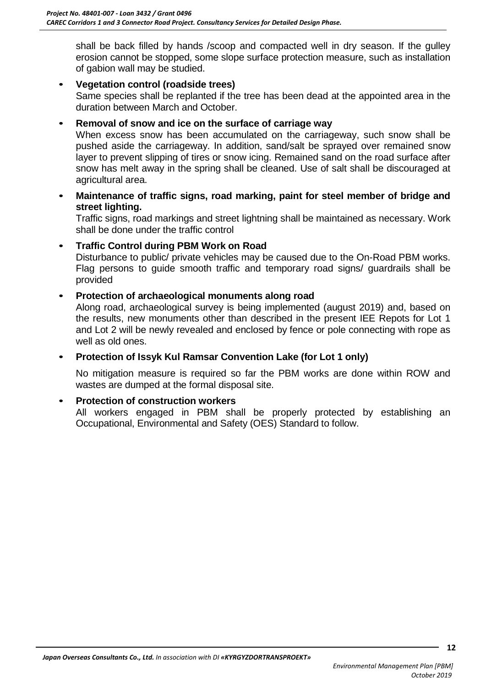shall be back filled by hands /scoop and compacted well in dry season. If the gulley erosion cannot be stopped, some slope surface protection measure, such as installation of gabion wall may be studied.

• **Vegetation control (roadside trees)** Same species shall be replanted if the tree has been dead at the appointed area in the duration between March and October.

#### • **Removal of snow and ice on the surface of carriage way**

When excess snow has been accumulated on the carriageway, such snow shall be pushed aside the carriageway. In addition, sand/salt be sprayed over remained snow layer to prevent slipping of tires or snow icing. Remained sand on the road surface after snow has melt away in the spring shall be cleaned. Use of salt shall be discouraged at agricultural area.

• **Maintenance of traffic signs, road marking, paint for steel member of bridge and street lighting.**

Traffic signs, road markings and street lightning shall be maintained as necessary. Work shall be done under the traffic control

#### • **Traffic Control during PBM Work on Road**

Disturbance to public/ private vehicles may be caused due to the On-Road PBM works. Flag persons to guide smooth traffic and temporary road signs/ guardrails shall be provided

#### • **Protection of archaeological monuments along road**

Along road, archaeological survey is being implemented (august 2019) and, based on the results, new monuments other than described in the present IEE Repots for Lot 1 and Lot 2 will be newly revealed and enclosed by fence or pole connecting with rope as well as old ones.

#### • **Protection of Issyk Kul Ramsar Convention Lake (for Lot 1 only)**

No mitigation measure is required so far the PBM works are done within ROW and wastes are dumped at the formal disposal site.

#### • **Protection of construction workers**

All workers engaged in PBM shall be properly protected by establishing an Occupational, Environmental and Safety (OES) Standard to follow.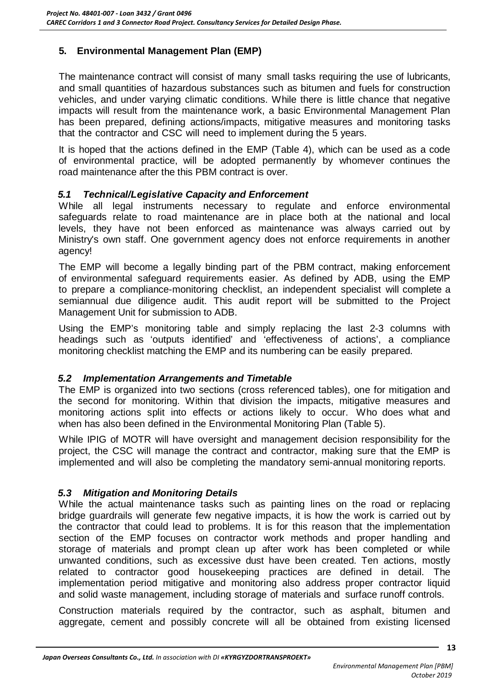## <span id="page-15-0"></span>**5. Environmental Management Plan (EMP)**

The maintenance contract will consist of many small tasks requiring the use of lubricants, and small quantities of hazardous substances such as bitumen and fuels for construction vehicles, and under varying climatic conditions. While there is little chance that negative impacts will result from the maintenance work, a basic Environmental Management Plan has been prepared, defining actions/impacts, mitigative measures and monitoring tasks that the contractor and CSC will need to implement during the 5 years.

It is hoped that the actions defined in the EMP (Table 4), which can be used as a code of environmental practice, will be adopted permanently by whomever continues the road maintenance after the this PBM contract is over.

#### <span id="page-15-1"></span>*5.1 Technical/Legislative Capacity and Enforcement*

While all legal instruments necessary to regulate and enforce environmental safeguards relate to road maintenance are in place both at the national and local levels, they have not been enforced as maintenance was always carried out by Ministry's own staff. One government agency does not enforce requirements in another agency!

The EMP will become a legally binding part of the PBM contract, making enforcement of environmental safeguard requirements easier. As defined by ADB, using the EMP to prepare a compliance-monitoring checklist, an independent specialist will complete a semiannual due diligence audit. This audit report will be submitted to the Project Management Unit for submission to ADB.

Using the EMP's monitoring table and simply replacing the last 2-3 columns with headings such as 'outputs identified' and 'effectiveness of actions', a compliance monitoring checklist matching the EMP and its numbering can be easily prepared.

#### <span id="page-15-2"></span>*5.2 Implementation Arrangements and Timetable*

The EMP is organized into two sections (cross referenced tables), one for mitigation and the second for monitoring. Within that division the impacts, mitigative measures and monitoring actions split into effects or actions likely to occur. Who does what and when has also been defined in the Environmental Monitoring Plan (Table 5).

While IPIG of MOTR will have oversight and management decision responsibility for the project, the CSC will manage the contract and contractor, making sure that the EMP is implemented and will also be completing the mandatory semi-annual monitoring reports.

#### <span id="page-15-3"></span>*5.3 Mitigation and Monitoring Details*

While the actual maintenance tasks such as painting lines on the road or replacing bridge guardrails will generate few negative impacts, it is how the work is carried out by the contractor that could lead to problems. It is for this reason that the implementation section of the EMP focuses on contractor work methods and proper handling and storage of materials and prompt clean up after work has been completed or while unwanted conditions, such as excessive dust have been created. Ten actions, mostly related to contractor good housekeeping practices are defined in detail. The implementation period mitigative and monitoring also address proper contractor liquid and solid waste management, including storage of materials and surface runoff controls.

Construction materials required by the contractor, such as asphalt, bitumen and aggregate, cement and possibly concrete will all be obtained from existing licensed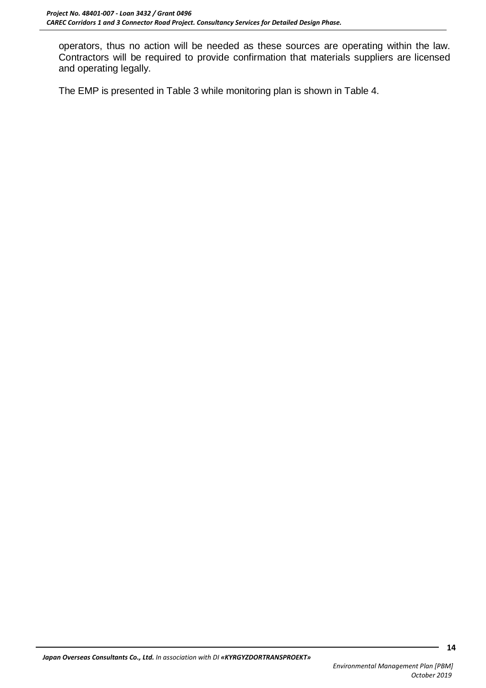operators, thus no action will be needed as these sources are operating within the law. Contractors will be required to provide confirmation that materials suppliers are licensed and operating legally.

The EMP is presented in Table 3 while monitoring plan is shown in Table 4.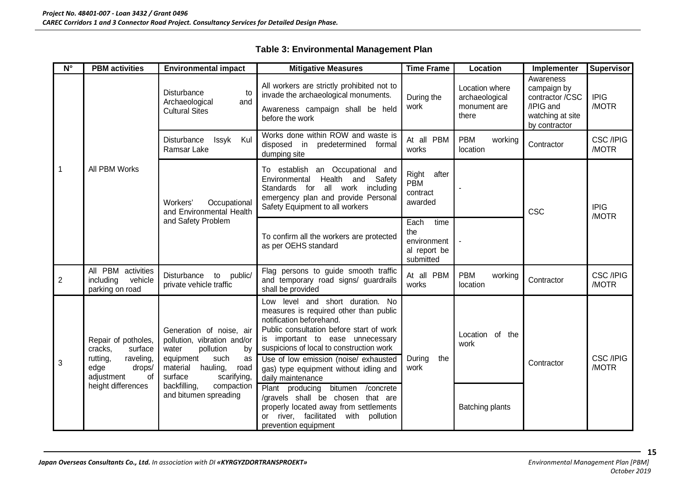<span id="page-17-0"></span>

| $\mathsf{N}^\circ$ | <b>PBM</b> activities                                                                                                          | <b>Environmental impact</b>                                                                                                                                                                                                     | <b>Mitigative Measures</b>                                                                                                                                                                                                                                                                                                                                                                                                                                                                                                                  | <b>Time Frame</b>                                               | Location                                                  | Implementer                                                                                   | <b>Supervisor</b>         |
|--------------------|--------------------------------------------------------------------------------------------------------------------------------|---------------------------------------------------------------------------------------------------------------------------------------------------------------------------------------------------------------------------------|---------------------------------------------------------------------------------------------------------------------------------------------------------------------------------------------------------------------------------------------------------------------------------------------------------------------------------------------------------------------------------------------------------------------------------------------------------------------------------------------------------------------------------------------|-----------------------------------------------------------------|-----------------------------------------------------------|-----------------------------------------------------------------------------------------------|---------------------------|
| $\mathbf{1}$       |                                                                                                                                | <b>Disturbance</b><br>to<br>Archaeological<br>and<br><b>Cultural Sites</b>                                                                                                                                                      | All workers are strictly prohibited not to<br>invade the archaeological monuments.<br>Awareness campaign shall be held<br>before the work                                                                                                                                                                                                                                                                                                                                                                                                   | During the<br>work                                              | Location where<br>archaeological<br>monument are<br>there | Awareness<br>campaign by<br>contractor /CSC<br>/IPIG and<br>watching at site<br>by contractor | <b>IPIG</b><br>/MOTR      |
|                    |                                                                                                                                | Disturbance<br>Issyk<br>Kul<br>Ramsar Lake                                                                                                                                                                                      | Works done within ROW and waste is<br>disposed in<br>predetermined formal<br>dumping site                                                                                                                                                                                                                                                                                                                                                                                                                                                   | At all PBM<br>works                                             | <b>PBM</b><br>working<br>location                         | Contractor                                                                                    | <b>CSC /IPIG</b><br>/MOTR |
|                    | All PBM Works                                                                                                                  | Occupational<br>Workers'<br>and Environmental Health<br>and Safety Problem                                                                                                                                                      | To establish an Occupational and<br>Environmental Health and Safety<br>Standards for all work including<br>emergency plan and provide Personal<br>Safety Equipment to all workers                                                                                                                                                                                                                                                                                                                                                           | after<br>Right<br><b>PBM</b><br>contract<br>awarded             |                                                           | CSC                                                                                           | <b>IPIG</b><br>/MOTR      |
|                    |                                                                                                                                |                                                                                                                                                                                                                                 | To confirm all the workers are protected<br>as per OEHS standard                                                                                                                                                                                                                                                                                                                                                                                                                                                                            | Each<br>time<br>the<br>environment<br>al report be<br>submitted |                                                           |                                                                                               |                           |
| $\overline{2}$     | All PBM activities<br>including<br>vehicle<br>parking on road                                                                  | Disturbance<br>public/<br>to<br>private vehicle traffic                                                                                                                                                                         | Flag persons to guide smooth traffic<br>and temporary road signs/ guardrails<br>shall be provided                                                                                                                                                                                                                                                                                                                                                                                                                                           | At all PBM<br>works                                             | <b>PBM</b><br>working<br>location                         | Contractor                                                                                    | <b>CSC /IPIG</b><br>/MOTR |
| 3                  | Repair of potholes,<br>cracks,<br>surface<br>raveling,<br>rutting,<br>edge<br>drops/<br>adjustment<br>of<br>height differences | Generation of noise, air<br>pollution, vibration and/or<br>pollution<br>by<br>water<br>such<br>equipment<br>as<br>material<br>hauling,<br>road<br>surface<br>scarifying,<br>backfilling,<br>compaction<br>and bitumen spreading | Low level and short duration. No<br>measures is required other than public<br>notification beforehand.<br>Public consultation before start of work<br>is important to ease unnecessary<br>suspicions of local to construction work<br>Use of low emission (noise/ exhausted<br>gas) type equipment without idling and<br>daily maintenance<br>bitumen / concrete<br>Plant producing<br>/gravels shall be chosen that are<br>properly located away from settlements<br>river, facilitated<br>with<br>pollution<br>or<br>prevention equipment | the<br>During<br>work                                           | Location of the<br>work<br><b>Batching plants</b>         | Contractor                                                                                    | <b>CSC /IPIG</b><br>/MOTR |

#### **Table 3: Environmental Management Plan**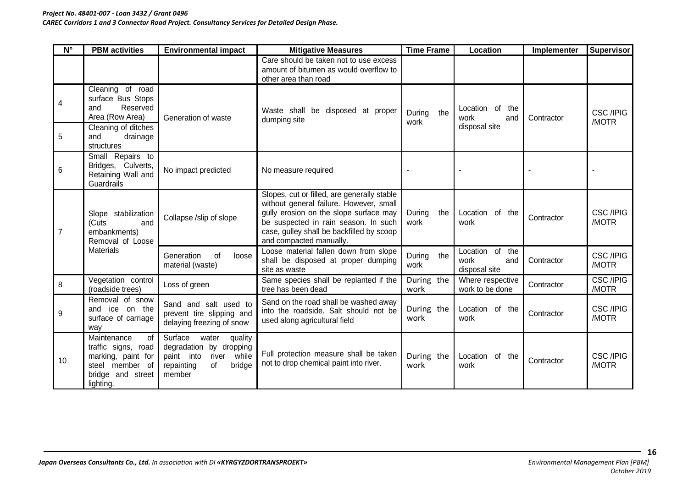| $N^{\circ}$    | <b>PBM</b> activities                                                                                                               | <b>Environmental impact</b>                                                                                                    | <b>Mitigative Measures</b>                                                                                                                                                                                                                       | <b>Time Frame</b>     | Location                                           | Implementer | Supervisor                |
|----------------|-------------------------------------------------------------------------------------------------------------------------------------|--------------------------------------------------------------------------------------------------------------------------------|--------------------------------------------------------------------------------------------------------------------------------------------------------------------------------------------------------------------------------------------------|-----------------------|----------------------------------------------------|-------------|---------------------------|
|                |                                                                                                                                     |                                                                                                                                | Care should be taken not to use excess<br>amount of bitumen as would overflow to<br>other area than road                                                                                                                                         |                       |                                                    |             |                           |
| 4<br>5         | Cleaning of road<br>surface Bus Stops<br>Reserved<br>and<br>Area (Row Area)<br>Cleaning of ditches<br>and<br>drainage<br>structures | Generation of waste                                                                                                            | Waste shall be disposed at proper<br>dumping site                                                                                                                                                                                                | During<br>the<br>work | Location of the<br>work<br>and<br>disposal site    | Contractor  | <b>CSC /IPIG</b><br>/MOTR |
| 6              | Small Repairs to<br>Bridges, Culverts,<br>Retaining Wall and<br><b>Guardrails</b>                                                   | No impact predicted                                                                                                            | No measure required                                                                                                                                                                                                                              |                       |                                                    |             |                           |
| $\overline{7}$ | Slope stabilization<br>(Cuts<br>and<br>embankments)<br>Removal of Loose<br><b>Materials</b>                                         | Collapse /slip of slope                                                                                                        | Slopes, cut or filled, are generally stable<br>without general failure. However, small<br>gully erosion on the slope surface may<br>be suspected in rain season. In such<br>case, gulley shall be backfilled by scoop<br>and compacted manually. | During<br>the<br>work | Location of the<br>work                            | Contractor  | <b>CSC /IPIG</b><br>/MOTR |
|                |                                                                                                                                     | Generation<br>of<br>loose<br>material (waste)                                                                                  | Loose material fallen down from slope<br>shall be disposed at proper dumping<br>site as waste                                                                                                                                                    | During<br>the<br>work | of the<br>Location<br>work<br>and<br>disposal site | Contractor  | <b>CSC /IPIG</b><br>/MOTR |
| 8              | Vegetation control<br>(roadside trees)                                                                                              | Loss of green                                                                                                                  | Same species shall be replanted if the<br>tree has been dead                                                                                                                                                                                     | During the<br>work    | Where respective<br>work to be done                | Contractor  | <b>CSC /IPIG</b><br>/MOTR |
| 9              | Removal of snow<br>and ice on the<br>surface of carriage<br>way                                                                     | Sand and salt used to<br>prevent tire slipping and<br>delaying freezing of snow                                                | Sand on the road shall be washed away<br>into the roadside. Salt should not be<br>used along agricultural field                                                                                                                                  | During the<br>work    | Location of the<br>work                            | Contractor  | <b>CSC /IPIG</b><br>/MOTR |
| 10             | Maintenance<br>of<br>traffic signs, road<br>marking, paint for<br>steel member of<br>bridge and street<br>lighting.                 | Surface<br>water<br>quality<br>degradation by dropping<br>while<br>paint into<br>river<br>of<br>bridge<br>repainting<br>member | Full protection measure shall be taken<br>not to drop chemical paint into river.                                                                                                                                                                 | During the<br>work    | Location of the<br>work                            | Contractor  | <b>CSC /IPIG</b><br>/MOTR |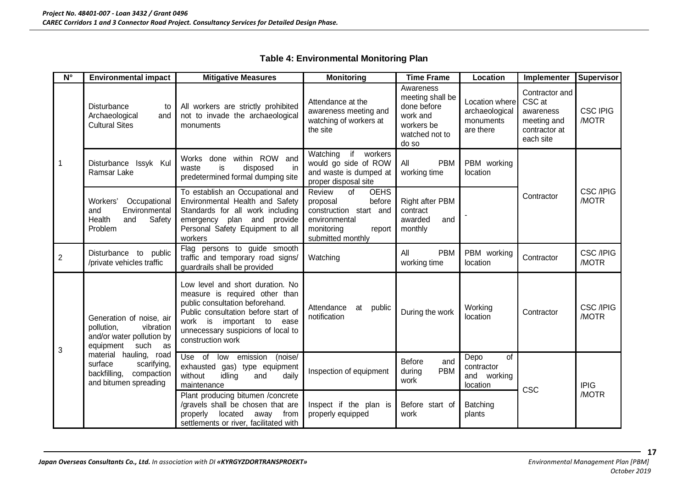#### **Table 4: Environmental Monitoring Plan**

<span id="page-19-0"></span>

| $\overline{\mathsf{N}^{\circ}}$ | <b>Environmental impact</b>                                                                              | <b>Mitigative Measures</b>                                                                                                                                                                                                           | <b>Monitoring</b>                                                                                                                         | <b>Time Frame</b>                                                                                 | Location                                                   | Implementer                                                                        | Supervisor                |
|---------------------------------|----------------------------------------------------------------------------------------------------------|--------------------------------------------------------------------------------------------------------------------------------------------------------------------------------------------------------------------------------------|-------------------------------------------------------------------------------------------------------------------------------------------|---------------------------------------------------------------------------------------------------|------------------------------------------------------------|------------------------------------------------------------------------------------|---------------------------|
|                                 | <b>Disturbance</b><br>to<br>Archaeological<br>and<br><b>Cultural Sites</b>                               | All workers are strictly prohibited<br>not to invade the archaeological<br>monuments                                                                                                                                                 | Attendance at the<br>awareness meeting and<br>watching of workers at<br>the site                                                          | Awareness<br>meeting shall be<br>done before<br>work and<br>workers be<br>watched not to<br>do so | Location where<br>archaeological<br>monuments<br>are there | Contractor and<br>CSC at<br>awareness<br>meeting and<br>contractor at<br>each site | <b>CSC IPIG</b><br>/MOTR  |
| $\mathbf{1}$                    | Disturbance Issyk Kul<br>Ramsar Lake                                                                     | within ROW<br><b>Works</b><br>done<br>and<br>disposed<br>waste<br>is<br>in<br>predetermined formal dumping site                                                                                                                      | Watching<br>workers<br>if<br>would go side of ROW<br>and waste is dumped at<br>proper disposal site                                       | All<br><b>PBM</b><br>working time                                                                 | PBM working<br>location                                    |                                                                                    |                           |
|                                 | Occupational<br>Workers'<br>Environmental<br>and<br>Health<br>and<br>Safety<br>Problem                   | To establish an Occupational and<br>Environmental Health and Safety<br>Standards for all work including<br>emergency plan and provide<br>Personal Safety Equipment to all<br>workers                                                 | Review<br>of<br><b>OEHS</b><br>before<br>proposal<br>construction start and<br>environmental<br>monitoring<br>report<br>submitted monthly | Right after PBM<br>contract<br>awarded<br>and<br>monthly                                          |                                                            | Contractor                                                                         | <b>CSC /IPIG</b><br>/MOTR |
| $\overline{2}$                  | Disturbance<br>to public<br>/private vehicles traffic                                                    | Flag persons to guide smooth<br>traffic and temporary road signs/<br>guardrails shall be provided                                                                                                                                    | Watching                                                                                                                                  | <b>PBM</b><br>All<br>working time                                                                 | PBM working<br>location                                    | Contractor                                                                         | <b>CSC /IPIG</b><br>/MOTR |
| 3                               | Generation of noise, air<br>pollution,<br>vibration<br>and/or water pollution by<br>equipment<br>such as | Low level and short duration. No<br>measure is required other than<br>public consultation beforehand.<br>Public consultation before start of<br>work is important to ease<br>unnecessary suspicions of local to<br>construction work | Attendance<br>at<br>public<br>notification                                                                                                | During the work                                                                                   | Working<br>location                                        | Contractor                                                                         | <b>CSC /IPIG</b><br>/MOTR |
|                                 | material hauling, road<br>surface<br>scarifying,<br>backfilling,<br>compaction<br>and bitumen spreading  | $Use$ of<br>(noise/<br>low emission<br>exhausted gas) type equipment<br>without<br>idling<br>daily<br>and<br>maintenance                                                                                                             | Inspection of equipment                                                                                                                   | <b>Before</b><br>and<br><b>PBM</b><br>during<br>work                                              | of<br>Depo<br>contractor<br>and working<br>location        | <b>CSC</b>                                                                         | <b>IPIG</b>               |
|                                 |                                                                                                          | Plant producing bitumen /concrete<br>/gravels shall be chosen that are<br>located<br>properly<br>away from<br>settlements or river, facilitated with                                                                                 | Inspect if the plan is<br>properly equipped                                                                                               | Before start of<br>work                                                                           | Batching<br>plants                                         |                                                                                    | /MOTR                     |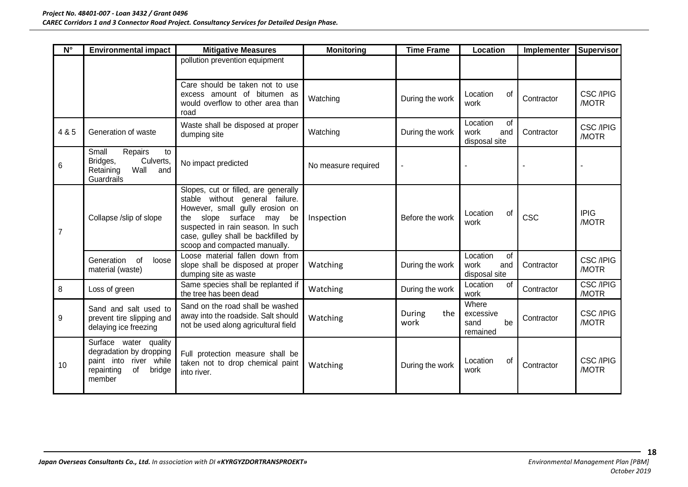| $N^{\circ}$    | <b>Environmental impact</b>                                                                                        | <b>Mitigative Measures</b>                                                                                                                                                                                                                                | <b>Monitoring</b>   | <b>Time Frame</b>     | Location                                       | Implementer | <b>Supervisor</b>         |
|----------------|--------------------------------------------------------------------------------------------------------------------|-----------------------------------------------------------------------------------------------------------------------------------------------------------------------------------------------------------------------------------------------------------|---------------------|-----------------------|------------------------------------------------|-------------|---------------------------|
|                |                                                                                                                    | pollution prevention equipment                                                                                                                                                                                                                            |                     |                       |                                                |             |                           |
|                |                                                                                                                    | Care should be taken not to use<br>excess amount of bitumen as<br>would overflow to other area than<br>road                                                                                                                                               | Watching            | During the work       | Location<br>of<br>work                         | Contractor  | <b>CSC /IPIG</b><br>/MOTR |
| 4 & 5          | Generation of waste                                                                                                | Waste shall be disposed at proper<br>dumping site                                                                                                                                                                                                         | Watching            | During the work       | Location<br>of<br>work<br>and<br>disposal site | Contractor  | <b>CSC /IPIG</b><br>/MOTR |
| 6              | Small<br>Repairs<br>to<br>Culverts,<br>Bridges,<br>Retaining<br>Wall<br>and<br>Guardrails                          | No impact predicted                                                                                                                                                                                                                                       | No measure required |                       |                                                |             |                           |
| $\overline{7}$ | Collapse /slip of slope                                                                                            | Slopes, cut or filled, are generally<br>stable without general failure.<br>However, small gully erosion on<br>slope surface may<br>be<br>the<br>suspected in rain season. In such<br>case, gulley shall be backfilled by<br>scoop and compacted manually. | Inspection          | Before the work       | Location<br>0f<br>work                         | <b>CSC</b>  | <b>IPIG</b><br>/MOTR      |
|                | Generation<br>of<br>loose<br>material (waste)                                                                      | Loose material fallen down from<br>slope shall be disposed at proper<br>dumping site as waste                                                                                                                                                             | Watching            | During the work       | Location<br>of<br>work<br>and<br>disposal site | Contractor  | <b>CSC /IPIG</b><br>/MOTR |
| 8              | Loss of green                                                                                                      | Same species shall be replanted if<br>the tree has been dead                                                                                                                                                                                              | Watching            | During the work       | Location<br>οf<br>work                         | Contractor  | <b>CSC /IPIG</b><br>/MOTR |
| 9              | Sand and salt used to<br>prevent tire slipping and<br>delaying ice freezing                                        | Sand on the road shall be washed<br>away into the roadside. Salt should<br>not be used along agricultural field                                                                                                                                           | Watching            | During<br>the<br>work | Where<br>excessive<br>sand<br>be<br>remained   | Contractor  | <b>CSC /IPIG</b><br>/MOTR |
| 10             | Surface water quality<br>degradation by dropping<br>paint into river while<br>repainting<br>of<br>bridge<br>member | Full protection measure shall be<br>taken not to drop chemical paint<br>into river.                                                                                                                                                                       | Watching            | During the work       | Location<br>οf<br>work                         | Contractor  | <b>CSC /IPIG</b><br>/MOTR |